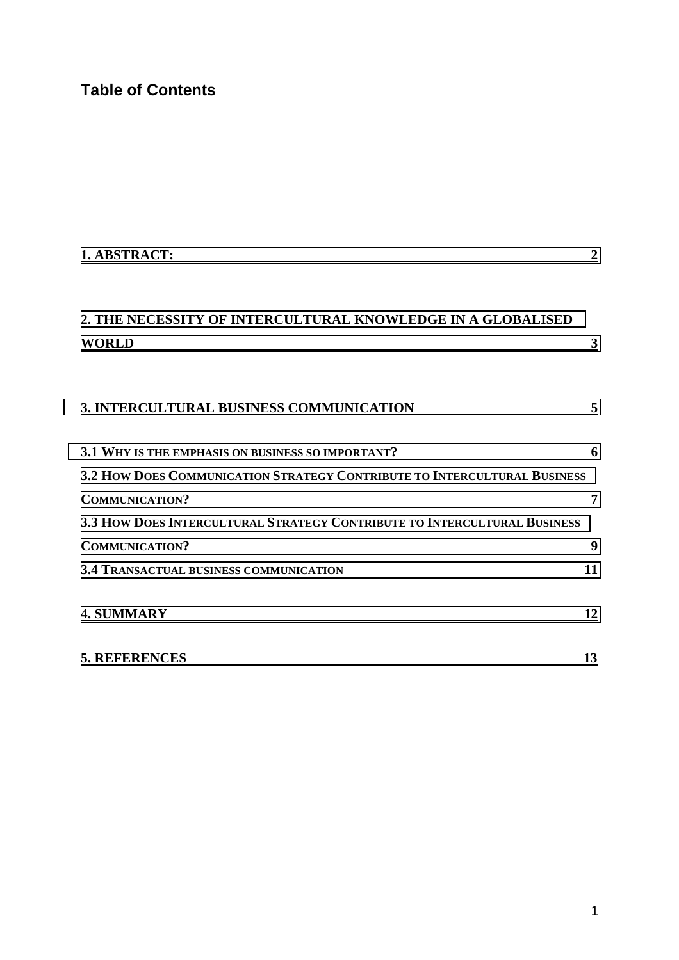# **Table of Contents**

| 1. ABSTRACT:                                                                | 2  |
|-----------------------------------------------------------------------------|----|
| 2. THE NECESSITY OF INTERCULTURAL KNOWLEDGE IN A GLOBALISED<br><b>WORLD</b> | 3  |
| 3. INTERCULTURAL BUSINESS COMMUNICATION                                     |    |
| 3.1 WHY IS THE EMPHASIS ON BUSINESS SO IMPORTANT?                           | 6  |
| 3.2 HOW DOES COMMUNICATION STRATEGY CONTRIBUTE TO INTERCULTURAL BUSINESS    |    |
| <b>COMMUNICATION?</b>                                                       |    |
| 3.3 HOW DOES INTERCULTURAL STRATEGY CONTRIBUTE TO INTERCULTURAL BUSINESS    |    |
| <b>COMMUNICATION?</b>                                                       | 9  |
| <b>3.4 TRANSACTUAL BUSINESS COMMUNICATION</b>                               | 11 |
| <b>4. SUMMARY</b>                                                           | 12 |
| <b>5. REFERENCES</b>                                                        | 13 |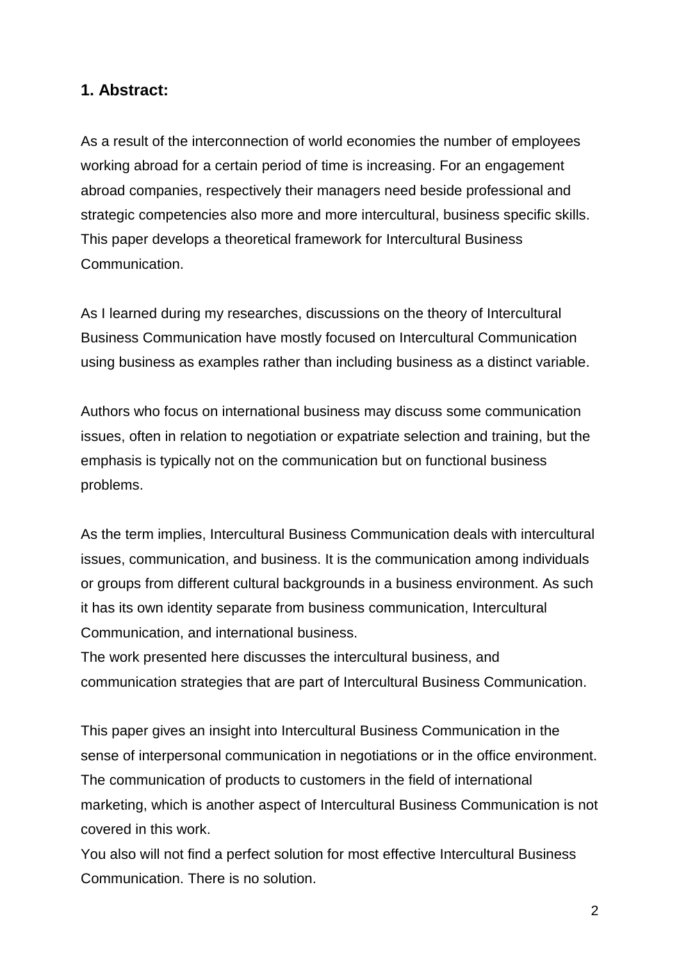## <span id="page-1-0"></span>**1. Abstract:**

As a result of the interconnection of world economies the number of employees working abroad for a certain period of time is increasing. For an engagement abroad companies, respectively their managers need beside professional and strategic competencies also more and more intercultural, business specific skills. This paper develops a theoretical framework for Intercultural Business Communication.

As I learned during my researches, discussions on the theory of Intercultural Business Communication have mostly focused on Intercultural Communication using business as examples rather than including business as a distinct variable.

Authors who focus on international business may discuss some communication issues, often in relation to negotiation or expatriate selection and training, but the emphasis is typically not on the communication but on functional business problems.

As the term implies, Intercultural Business Communication deals with intercultural issues, communication, and business. It is the communication among individuals or groups from different cultural backgrounds in a business environment. As such it has its own identity separate from business communication, Intercultural Communication, and international business.

The work presented here discusses the intercultural business, and communication strategies that are part of Intercultural Business Communication.

This paper gives an insight into Intercultural Business Communication in the sense of interpersonal communication in negotiations or in the office environment. The communication of products to customers in the field of international marketing, which is another aspect of Intercultural Business Communication is not covered in this work.

You also will not find a perfect solution for most effective Intercultural Business Communication. There is no solution.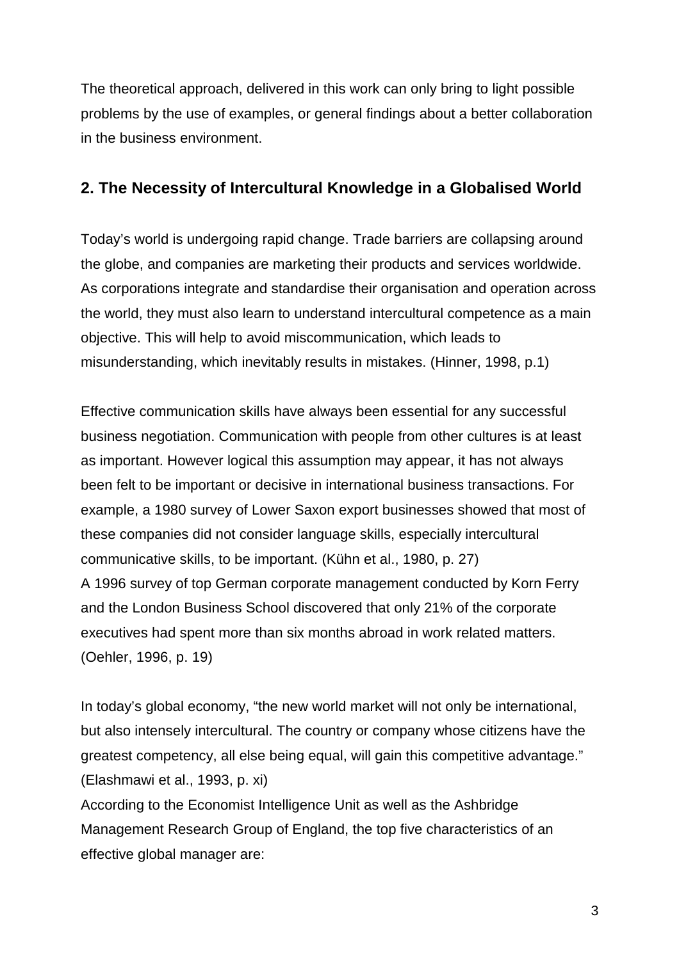<span id="page-2-0"></span>The theoretical approach, delivered in this work can only bring to light possible problems by the use of examples, or general findings about a better collaboration in the business environment.

### **2. The Necessity of Intercultural Knowledge in a Globalised World**

Today's world is undergoing rapid change. Trade barriers are collapsing around the globe, and companies are marketing their products and services worldwide. As corporations integrate and standardise their organisation and operation across the world, they must also learn to understand intercultural competence as a main objective. This will help to avoid miscommunication, which leads to misunderstanding, which inevitably results in mistakes. (Hinner, 1998, p.1)

Effective communication skills have always been essential for any successful business negotiation. Communication with people from other cultures is at least as important. However logical this assumption may appear, it has not always been felt to be important or decisive in international business transactions. For example, a 1980 survey of Lower Saxon export businesses showed that most of these companies did not consider language skills, especially intercultural communicative skills, to be important. (Kühn et al., 1980, p. 27) A 1996 survey of top German corporate management conducted by Korn Ferry and the London Business School discovered that only 21% of the corporate executives had spent more than six months abroad in work related matters. (Oehler, 1996, p. 19)

In today's global economy, "the new world market will not only be international, but also intensely intercultural. The country or company whose citizens have the greatest competency, all else being equal, will gain this competitive advantage." (Elashmawi et al., 1993, p. xi)

According to the Economist Intelligence Unit as well as the Ashbridge Management Research Group of England, the top five characteristics of an effective global manager are: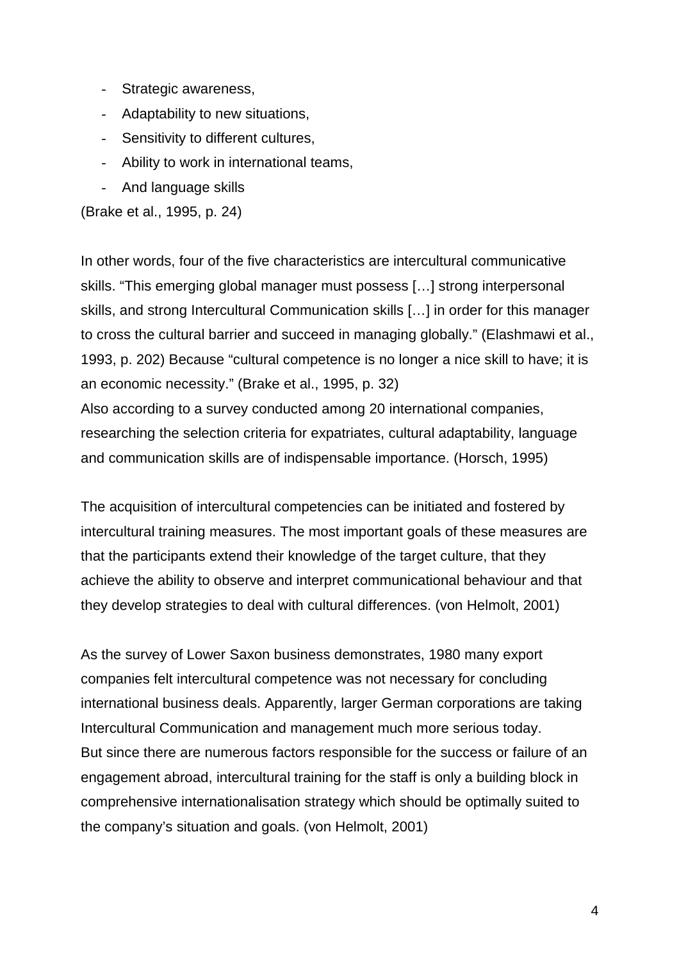- Strategic awareness,
- Adaptability to new situations,
- Sensitivity to different cultures,
- Ability to work in international teams,
- And language skills

(Brake et al., 1995, p. 24)

In other words, four of the five characteristics are intercultural communicative skills. "This emerging global manager must possess […] strong interpersonal skills, and strong Intercultural Communication skills […] in order for this manager to cross the cultural barrier and succeed in managing globally." (Elashmawi et al., 1993, p. 202) Because "cultural competence is no longer a nice skill to have; it is an economic necessity." (Brake et al., 1995, p. 32)

Also according to a survey conducted among 20 international companies, researching the selection criteria for expatriates, cultural adaptability, language and communication skills are of indispensable importance. (Horsch, 1995)

The acquisition of intercultural competencies can be initiated and fostered by intercultural training measures. The most important goals of these measures are that the participants extend their knowledge of the target culture, that they achieve the ability to observe and interpret communicational behaviour and that they develop strategies to deal with cultural differences. (von Helmolt, 2001)

As the survey of Lower Saxon business demonstrates, 1980 many export companies felt intercultural competence was not necessary for concluding international business deals. Apparently, larger German corporations are taking Intercultural Communication and management much more serious today. But since there are numerous factors responsible for the success or failure of an engagement abroad, intercultural training for the staff is only a building block in comprehensive internationalisation strategy which should be optimally suited to the company's situation and goals. (von Helmolt, 2001)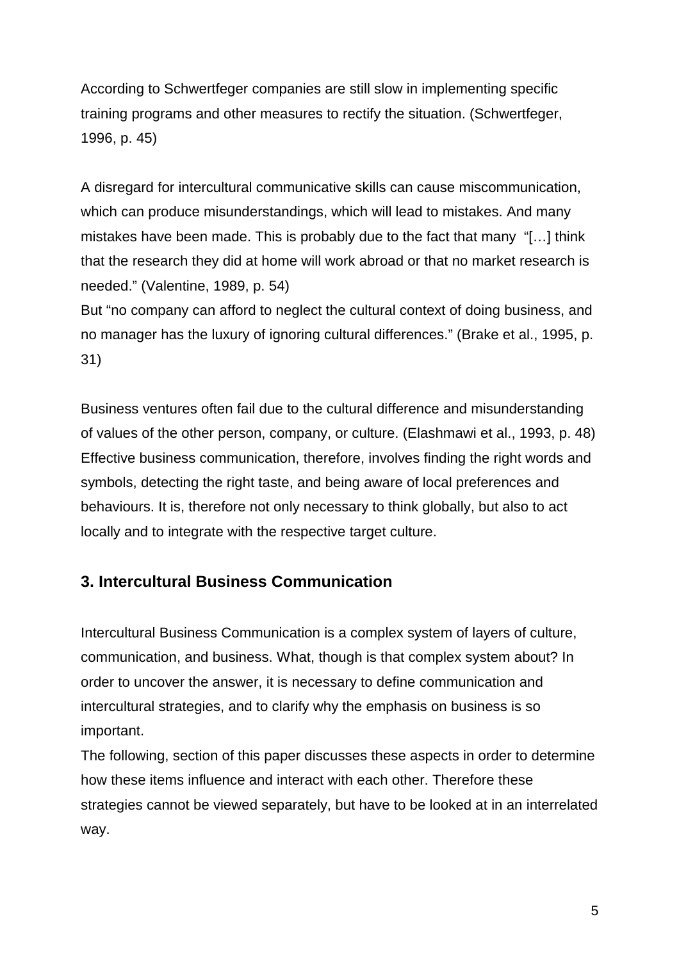<span id="page-4-0"></span>According to Schwertfeger companies are still slow in implementing specific training programs and other measures to rectify the situation. (Schwertfeger, 1996, p. 45)

A disregard for intercultural communicative skills can cause miscommunication, which can produce misunderstandings, which will lead to mistakes. And many mistakes have been made. This is probably due to the fact that many "[…] think that the research they did at home will work abroad or that no market research is needed." (Valentine, 1989, p. 54)

But "no company can afford to neglect the cultural context of doing business, and no manager has the luxury of ignoring cultural differences." (Brake et al., 1995, p. 31)

Business ventures often fail due to the cultural difference and misunderstanding of values of the other person, company, or culture. (Elashmawi et al., 1993, p. 48) Effective business communication, therefore, involves finding the right words and symbols, detecting the right taste, and being aware of local preferences and behaviours. It is, therefore not only necessary to think globally, but also to act locally and to integrate with the respective target culture.

## **3. Intercultural Business Communication**

Intercultural Business Communication is a complex system of layers of culture, communication, and business. What, though is that complex system about? In order to uncover the answer, it is necessary to define communication and intercultural strategies, and to clarify why the emphasis on business is so important.

The following, section of this paper discusses these aspects in order to determine how these items influence and interact with each other. Therefore these strategies cannot be viewed separately, but have to be looked at in an interrelated way.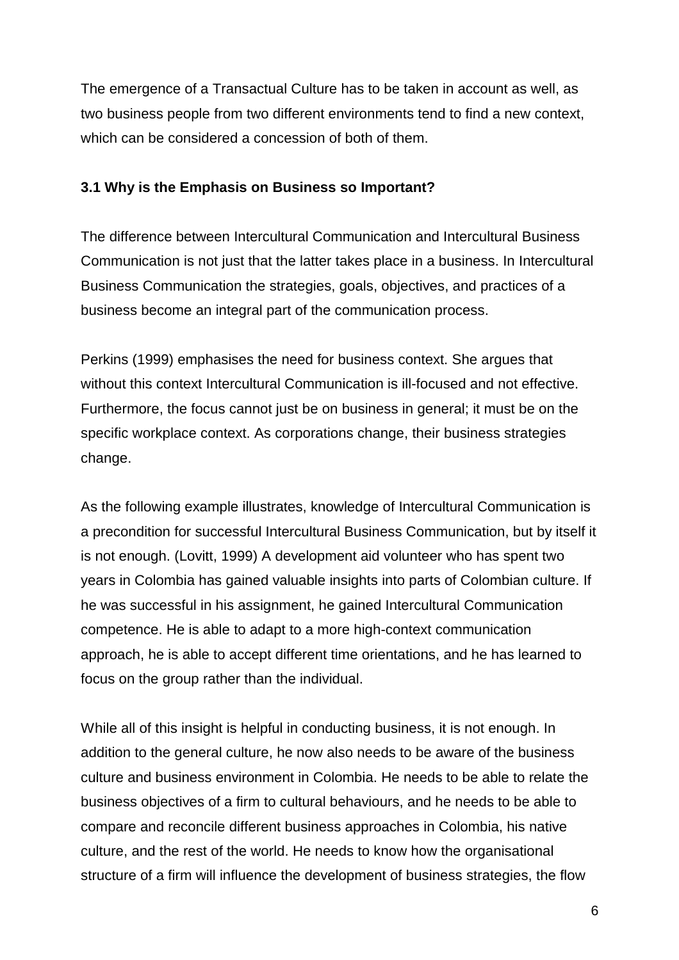<span id="page-5-0"></span>The emergence of a Transactual Culture has to be taken in account as well, as two business people from two different environments tend to find a new context, which can be considered a concession of both of them.

#### **3.1 Why is the Emphasis on Business so Important?**

The difference between Intercultural Communication and Intercultural Business Communication is not just that the latter takes place in a business. In Intercultural Business Communication the strategies, goals, objectives, and practices of a business become an integral part of the communication process.

Perkins (1999) emphasises the need for business context. She argues that without this context Intercultural Communication is ill-focused and not effective. Furthermore, the focus cannot just be on business in general; it must be on the specific workplace context. As corporations change, their business strategies change.

As the following example illustrates, knowledge of Intercultural Communication is a precondition for successful Intercultural Business Communication, but by itself it is not enough. (Lovitt, 1999) A development aid volunteer who has spent two years in Colombia has gained valuable insights into parts of Colombian culture. If he was successful in his assignment, he gained Intercultural Communication competence. He is able to adapt to a more high-context communication approach, he is able to accept different time orientations, and he has learned to focus on the group rather than the individual.

While all of this insight is helpful in conducting business, it is not enough. In addition to the general culture, he now also needs to be aware of the business culture and business environment in Colombia. He needs to be able to relate the business objectives of a firm to cultural behaviours, and he needs to be able to compare and reconcile different business approaches in Colombia, his native culture, and the rest of the world. He needs to know how the organisational structure of a firm will influence the development of business strategies, the flow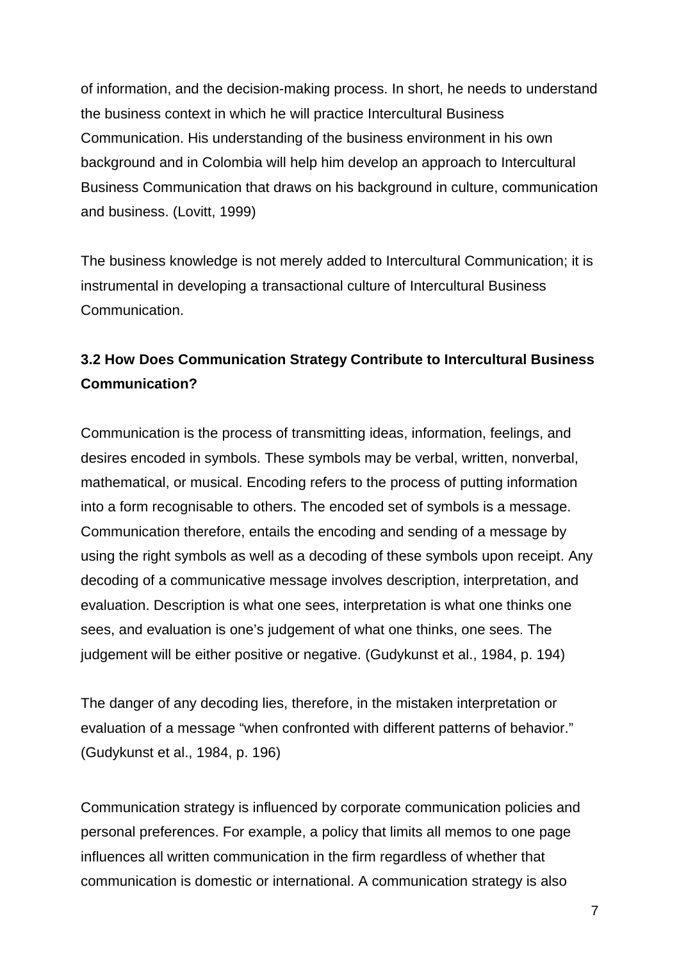<span id="page-6-0"></span>of information, and the decision-making process. In short, he needs to understand the business context in which he will practice Intercultural Business Communication. His understanding of the business environment in his own background and in Colombia will help him develop an approach to Intercultural Business Communication that draws on his background in culture, communication and business. (Lovitt, 1999)

The business knowledge is not merely added to Intercultural Communication; it is instrumental in developing a transactional culture of Intercultural Business Communication.

## **3.2 How Does Communication Strategy Contribute to Intercultural Business Communication?**

Communication is the process of transmitting ideas, information, feelings, and desires encoded in symbols. These symbols may be verbal, written, nonverbal, mathematical, or musical. Encoding refers to the process of putting information into a form recognisable to others. The encoded set of symbols is a message. Communication therefore, entails the encoding and sending of a message by using the right symbols as well as a decoding of these symbols upon receipt. Any decoding of a communicative message involves description, interpretation, and evaluation. Description is what one sees, interpretation is what one thinks one sees, and evaluation is one's judgement of what one thinks, one sees. The judgement will be either positive or negative. (Gudykunst et al., 1984, p. 194)

The danger of any decoding lies, therefore, in the mistaken interpretation or evaluation of a message "when confronted with different patterns of behavior." (Gudykunst et al., 1984, p. 196)

Communication strategy is influenced by corporate communication policies and personal preferences. For example, a policy that limits all memos to one page influences all written communication in the firm regardless of whether that communication is domestic or international. A communication strategy is also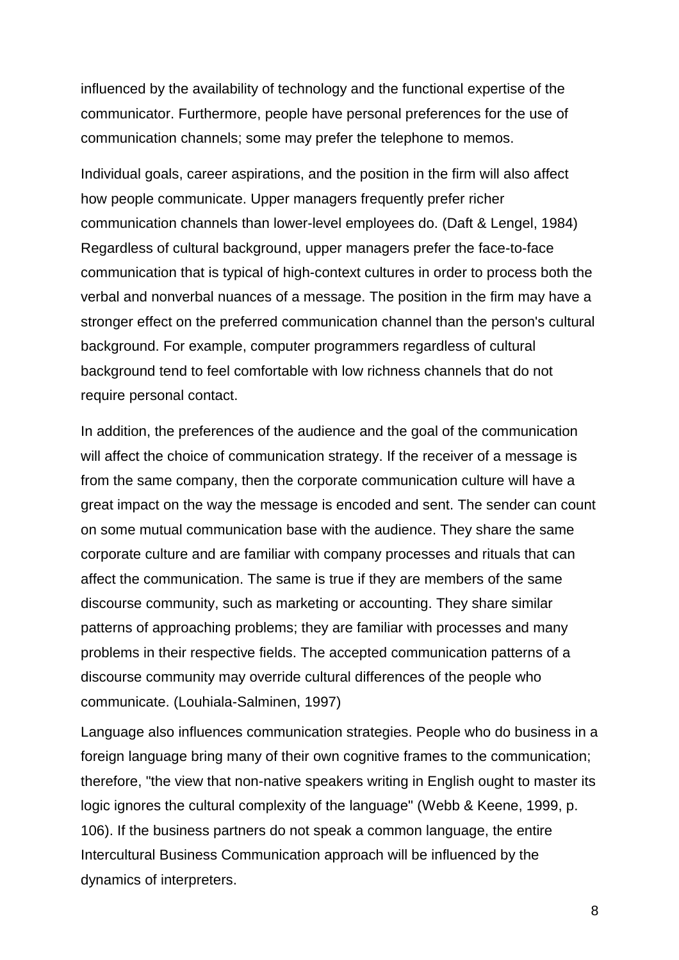influenced by the availability of technology and the functional expertise of the communicator. Furthermore, people have personal preferences for the use of communication channels; some may prefer the telephone to memos.

Individual goals, career aspirations, and the position in the firm will also affect how people communicate. Upper managers frequently prefer richer communication channels than lower-level employees do. (Daft & Lengel, 1984) Regardless of cultural background, upper managers prefer the face-to-face communication that is typical of high-context cultures in order to process both the verbal and nonverbal nuances of a message. The position in the firm may have a stronger effect on the preferred communication channel than the person's cultural background. For example, computer programmers regardless of cultural background tend to feel comfortable with low richness channels that do not require personal contact.

In addition, the preferences of the audience and the goal of the communication will affect the choice of communication strategy. If the receiver of a message is from the same company, then the corporate communication culture will have a great impact on the way the message is encoded and sent. The sender can count on some mutual communication base with the audience. They share the same corporate culture and are familiar with company processes and rituals that can affect the communication. The same is true if they are members of the same discourse community, such as marketing or accounting. They share similar patterns of approaching problems; they are familiar with processes and many problems in their respective fields. The accepted communication patterns of a discourse community may override cultural differences of the people who communicate. (Louhiala-Salminen, 1997)

Language also influences communication strategies. People who do business in a foreign language bring many of their own cognitive frames to the communication; therefore, "the view that non-native speakers writing in English ought to master its logic ignores the cultural complexity of the language" (Webb & Keene, 1999, p. 106). If the business partners do not speak a common language, the entire Intercultural Business Communication approach will be influenced by the dynamics of interpreters.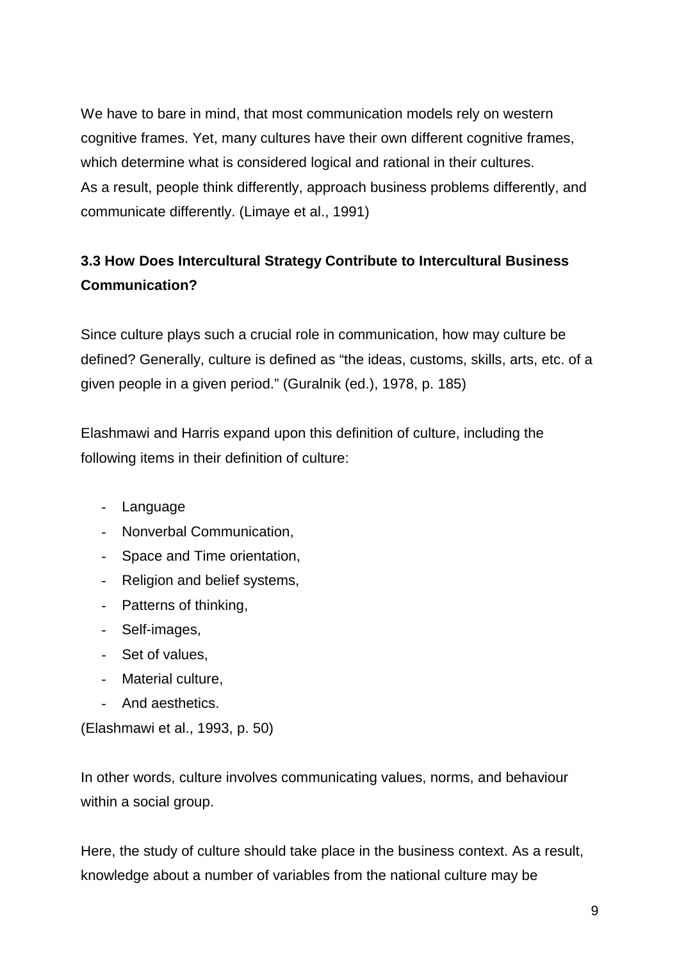<span id="page-8-0"></span>We have to bare in mind, that most communication models rely on western cognitive frames. Yet, many cultures have their own different cognitive frames, which determine what is considered logical and rational in their cultures. As a result, people think differently, approach business problems differently, and communicate differently. (Limaye et al., 1991)

# **3.3 How Does Intercultural Strategy Contribute to Intercultural Business Communication?**

Since culture plays such a crucial role in communication, how may culture be defined? Generally, culture is defined as "the ideas, customs, skills, arts, etc. of a given people in a given period." (Guralnik (ed.), 1978, p. 185)

Elashmawi and Harris expand upon this definition of culture, including the following items in their definition of culture:

- Language
- Nonverbal Communication,
- Space and Time orientation,
- Religion and belief systems,
- Patterns of thinking,
- Self-images,
- Set of values,
- Material culture,
- And aesthetics.

(Elashmawi et al., 1993, p. 50)

In other words, culture involves communicating values, norms, and behaviour within a social group.

Here, the study of culture should take place in the business context. As a result, knowledge about a number of variables from the national culture may be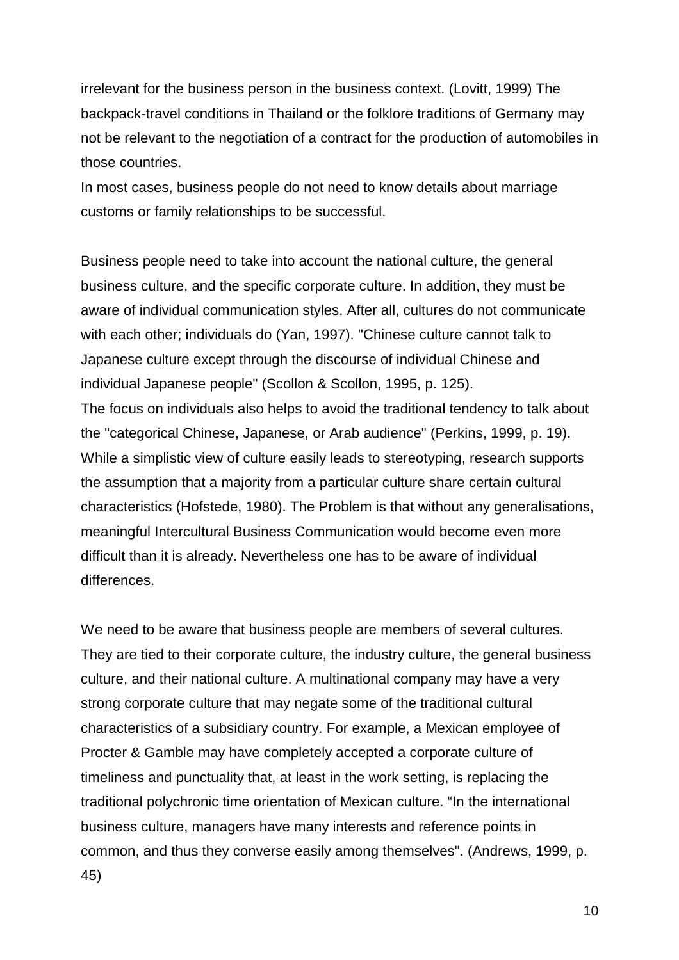irrelevant for the business person in the business context. (Lovitt, 1999) The backpack-travel conditions in Thailand or the folklore traditions of Germany may not be relevant to the negotiation of a contract for the production of automobiles in those countries.

In most cases, business people do not need to know details about marriage customs or family relationships to be successful.

Business people need to take into account the national culture, the general business culture, and the specific corporate culture. In addition, they must be aware of individual communication styles. After all, cultures do not communicate with each other; individuals do (Yan, 1997). "Chinese culture cannot talk to Japanese culture except through the discourse of individual Chinese and individual Japanese people" (Scollon & Scollon, 1995, p. 125).

The focus on individuals also helps to avoid the traditional tendency to talk about the "categorical Chinese, Japanese, or Arab audience" (Perkins, 1999, p. 19). While a simplistic view of culture easily leads to stereotyping, research supports the assumption that a majority from a particular culture share certain cultural characteristics (Hofstede, 1980). The Problem is that without any generalisations, meaningful Intercultural Business Communication would become even more difficult than it is already. Nevertheless one has to be aware of individual differences.

We need to be aware that business people are members of several cultures. They are tied to their corporate culture, the industry culture, the general business culture, and their national culture. A multinational company may have a very strong corporate culture that may negate some of the traditional cultural characteristics of a subsidiary country. For example, a Mexican employee of Procter & Gamble may have completely accepted a corporate culture of timeliness and punctuality that, at least in the work setting, is replacing the traditional polychronic time orientation of Mexican culture. "In the international business culture, managers have many interests and reference points in common, and thus they converse easily among themselves". (Andrews, 1999, p. 45)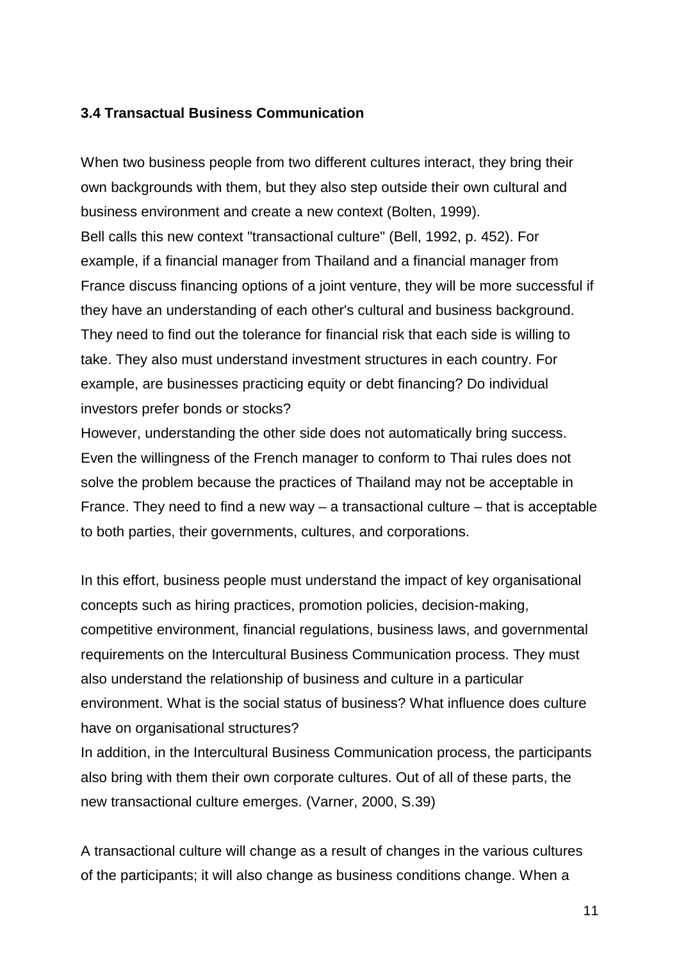### <span id="page-10-0"></span>**3.4 Transactual Business Communication**

When two business people from two different cultures interact, they bring their own backgrounds with them, but they also step outside their own cultural and business environment and create a new context (Bolten, 1999). Bell calls this new context "transactional culture" (Bell, 1992, p. 452). For example, if a financial manager from Thailand and a financial manager from France discuss financing options of a joint venture, they will be more successful if they have an understanding of each other's cultural and business background. They need to find out the tolerance for financial risk that each side is willing to take. They also must understand investment structures in each country. For example, are businesses practicing equity or debt financing? Do individual investors prefer bonds or stocks?

However, understanding the other side does not automatically bring success. Even the willingness of the French manager to conform to Thai rules does not solve the problem because the practices of Thailand may not be acceptable in France. They need to find a new way – a transactional culture – that is acceptable to both parties, their governments, cultures, and corporations.

In this effort, business people must understand the impact of key organisational concepts such as hiring practices, promotion policies, decision-making, competitive environment, financial regulations, business laws, and governmental requirements on the Intercultural Business Communication process. They must also understand the relationship of business and culture in a particular environment. What is the social status of business? What influence does culture have on organisational structures?

In addition, in the Intercultural Business Communication process, the participants also bring with them their own corporate cultures. Out of all of these parts, the new transactional culture emerges. (Varner, 2000, S.39)

A transactional culture will change as a result of changes in the various cultures of the participants; it will also change as business conditions change. When a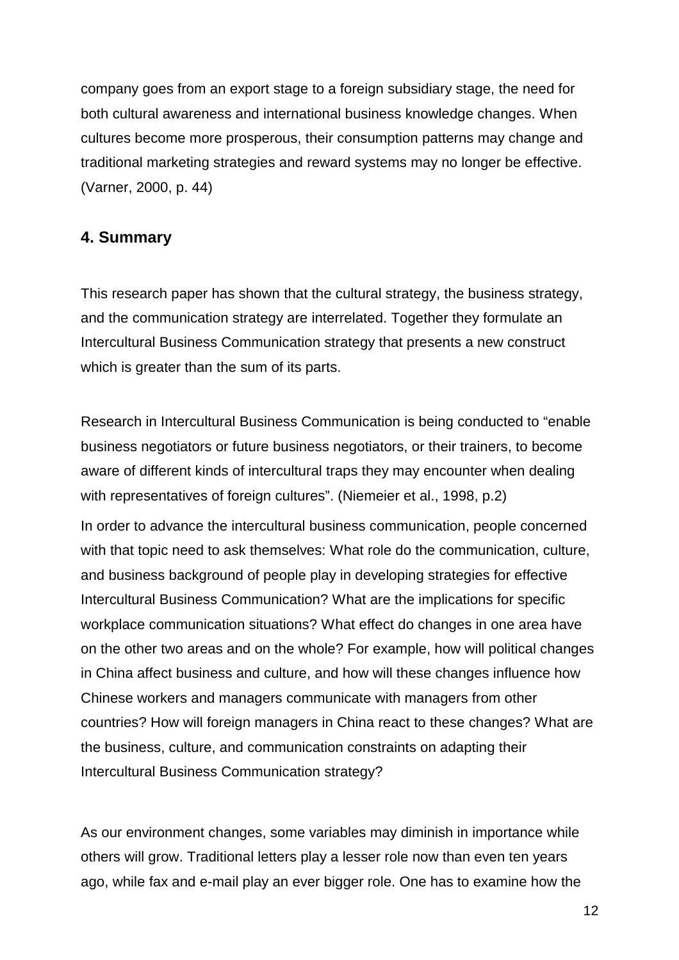<span id="page-11-0"></span>company goes from an export stage to a foreign subsidiary stage, the need for both cultural awareness and international business knowledge changes. When cultures become more prosperous, their consumption patterns may change and traditional marketing strategies and reward systems may no longer be effective. (Varner, 2000, p. 44)

## **4. Summary**

This research paper has shown that the cultural strategy, the business strategy, and the communication strategy are interrelated. Together they formulate an Intercultural Business Communication strategy that presents a new construct which is greater than the sum of its parts.

Research in Intercultural Business Communication is being conducted to "enable business negotiators or future business negotiators, or their trainers, to become aware of different kinds of intercultural traps they may encounter when dealing with representatives of foreign cultures". (Niemeier et al., 1998, p.2)

In order to advance the intercultural business communication, people concerned with that topic need to ask themselves: What role do the communication, culture, and business background of people play in developing strategies for effective Intercultural Business Communication? What are the implications for specific workplace communication situations? What effect do changes in one area have on the other two areas and on the whole? For example, how will political changes in China affect business and culture, and how will these changes influence how Chinese workers and managers communicate with managers from other countries? How will foreign managers in China react to these changes? What are the business, culture, and communication constraints on adapting their Intercultural Business Communication strategy?

As our environment changes, some variables may diminish in importance while others will grow. Traditional letters play a lesser role now than even ten years ago, while fax and e-mail play an ever bigger role. One has to examine how the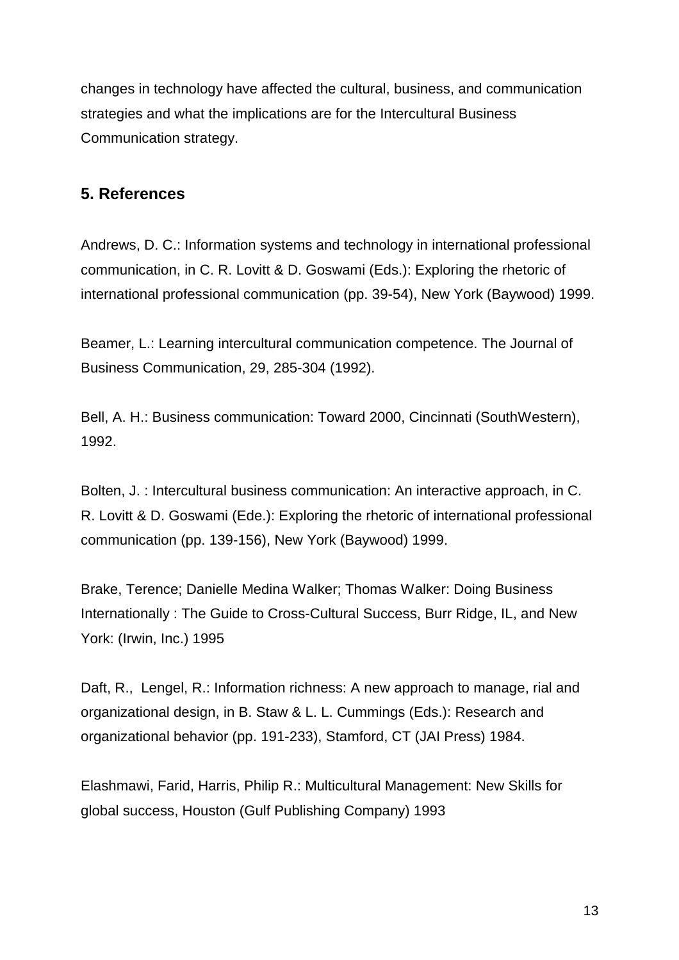changes in technology have affected the cultural, business, and communication strategies and what the implications are for the Intercultural Business Communication strategy.

## **5. References**

Andrews, D. C.: Information systems and technology in international professional communication, in C. R. Lovitt & D. Goswami (Eds.): Exploring the rhetoric of international professional communication (pp. 39-54), New York (Baywood) 1999.

Beamer, L.: Learning intercultural communication competence. The Journal of Business Communication, 29, 285-304 (1992).

Bell, A. H.: Business communication: Toward 2000, Cincinnati (SouthWestern), 1992.

Bolten, J. : Intercultural business communication: An interactive approach, in C. R. Lovitt & D. Goswami (Ede.): Exploring the rhetoric of international professional communication (pp. 139-156), New York (Baywood) 1999.

Brake, Terence; Danielle Medina Walker; Thomas Walker: Doing Business Internationally : The Guide to Cross-Cultural Success, Burr Ridge, IL, and New York: (Irwin, Inc.) 1995

Daft, R., Lengel, R.: Information richness: A new approach to manage, rial and organizational design, in B. Staw & L. L. Cummings (Eds.): Research and organizational behavior (pp. 191-233), Stamford, CT (JAI Press) 1984.

Elashmawi, Farid, Harris, Philip R.: Multicultural Management: New Skills for global success, Houston (Gulf Publishing Company) 1993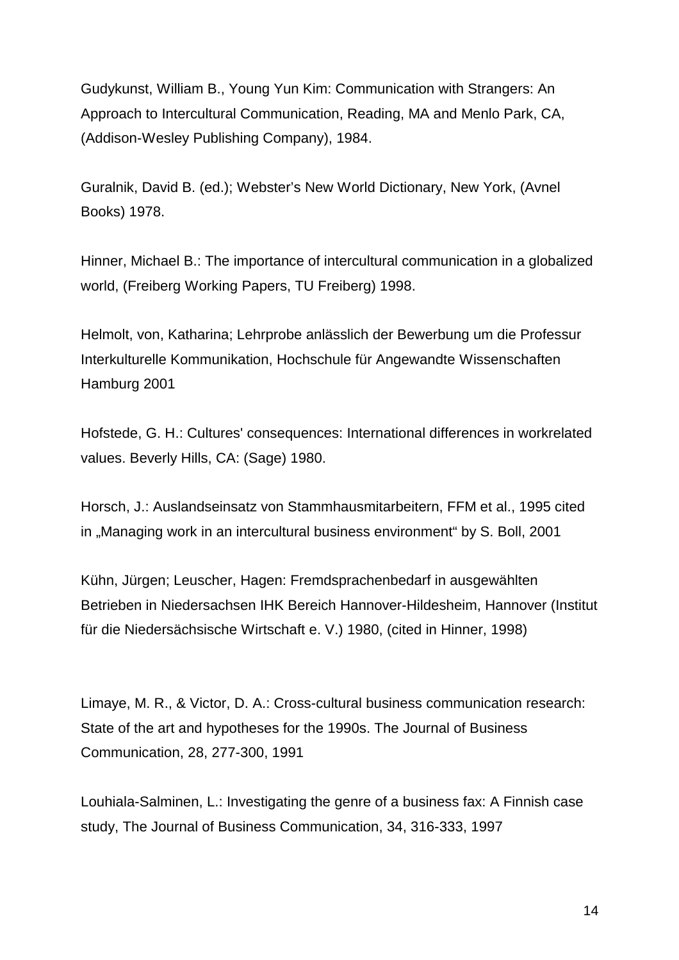Gudykunst, William B., Young Yun Kim: Communication with Strangers: An Approach to Intercultural Communication, Reading, MA and Menlo Park, CA, (Addison-Wesley Publishing Company), 1984.

Guralnik, David B. (ed.); Webster's New World Dictionary, New York, (Avnel Books) 1978.

Hinner, Michael B.: The importance of intercultural communication in a globalized world, (Freiberg Working Papers, TU Freiberg) 1998.

Helmolt, von, Katharina; Lehrprobe anlässlich der Bewerbung um die Professur Interkulturelle Kommunikation, Hochschule für Angewandte Wissenschaften Hamburg 2001

Hofstede, G. H.: Cultures' consequences: International differences in workrelated values. Beverly Hills, CA: (Sage) 1980.

Horsch, J.: Auslandseinsatz von Stammhausmitarbeitern, FFM et al., 1995 cited in "Managing work in an intercultural business environment" by S. Boll, 2001

Kühn, Jürgen; Leuscher, Hagen: Fremdsprachenbedarf in ausgewählten Betrieben in Niedersachsen IHK Bereich Hannover-Hildesheim, Hannover (Institut für die Niedersächsische Wirtschaft e. V.) 1980, (cited in Hinner, 1998)

Limaye, M. R., & Victor, D. A.: Cross-cultural business communication research: State of the art and hypotheses for the 1990s. The Journal of Business Communication, 28, 277-300, 1991

Louhiala-Salminen, L.: Investigating the genre of a business fax: A Finnish case study, The Journal of Business Communication, 34, 316-333, 1997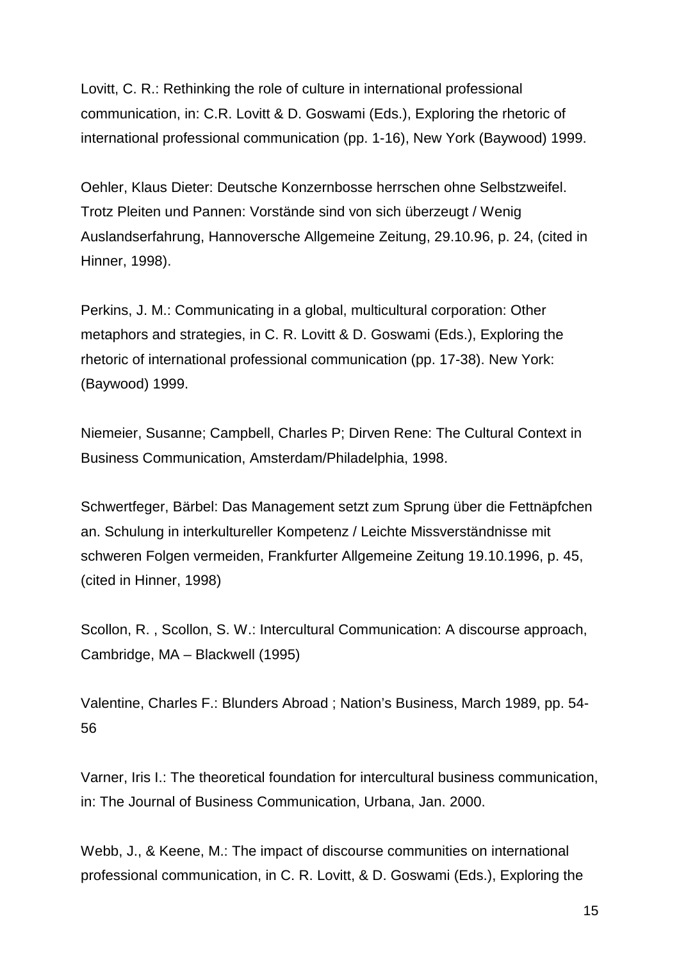Lovitt, C. R.: Rethinking the role of culture in international professional communication, in: C.R. Lovitt & D. Goswami (Eds.), Exploring the rhetoric of international professional communication (pp. 1-16), New York (Baywood) 1999.

Oehler, Klaus Dieter: Deutsche Konzernbosse herrschen ohne Selbstzweifel. Trotz Pleiten und Pannen: Vorstände sind von sich überzeugt / Wenig Auslandserfahrung, Hannoversche Allgemeine Zeitung, 29.10.96, p. 24, (cited in Hinner, 1998).

Perkins, J. M.: Communicating in a global, multicultural corporation: Other metaphors and strategies, in C. R. Lovitt & D. Goswami (Eds.), Exploring the rhetoric of international professional communication (pp. 17-38). New York: (Baywood) 1999.

Niemeier, Susanne; Campbell, Charles P; Dirven Rene: The Cultural Context in Business Communication, Amsterdam/Philadelphia, 1998.

Schwertfeger, Bärbel: Das Management setzt zum Sprung über die Fettnäpfchen an. Schulung in interkultureller Kompetenz / Leichte Missverständnisse mit schweren Folgen vermeiden, Frankfurter Allgemeine Zeitung 19.10.1996, p. 45, (cited in Hinner, 1998)

Scollon, R. , Scollon, S. W.: Intercultural Communication: A discourse approach, Cambridge, MA – Blackwell (1995)

Valentine, Charles F.: Blunders Abroad ; Nation's Business, March 1989, pp. 54- 56

Varner, Iris I.: The theoretical foundation for intercultural business communication, in: The Journal of Business Communication, Urbana, Jan. 2000.

Webb, J., & Keene, M.: The impact of discourse communities on international professional communication, in C. R. Lovitt, & D. Goswami (Eds.), Exploring the